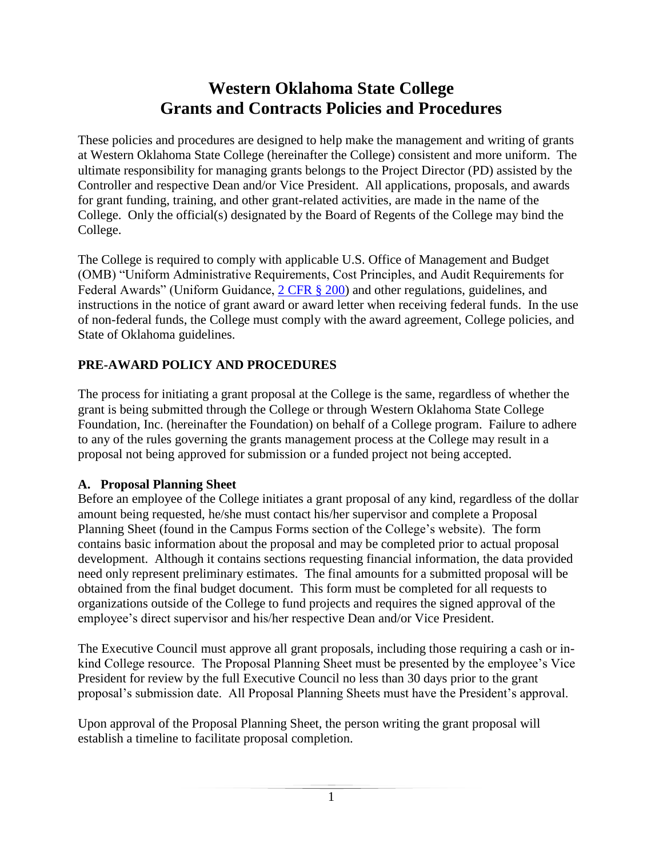# **Western Oklahoma State College Grants and Contracts Policies and Procedures**

These policies and procedures are designed to help make the management and writing of grants at Western Oklahoma State College (hereinafter the College) consistent and more uniform. The ultimate responsibility for managing grants belongs to the Project Director (PD) assisted by the Controller and respective Dean and/or Vice President. All applications, proposals, and awards for grant funding, training, and other grant-related activities, are made in the name of the College. Only the official(s) designated by the Board of Regents of the College may bind the College.

The College is required to comply with applicable U.S. Office of Management and Budget (OMB) "Uniform Administrative Requirements, Cost Principles, and Audit Requirements for Federal Awards" (Uniform Guidance,  $2 \text{ CFR }$  \$ 200) and other regulations, guidelines, and instructions in the notice of grant award or award letter when receiving federal funds. In the use of non-federal funds, the College must comply with the award agreement, College policies, and State of Oklahoma guidelines.

### **PRE-AWARD POLICY AND PROCEDURES**

The process for initiating a grant proposal at the College is the same, regardless of whether the grant is being submitted through the College or through Western Oklahoma State College Foundation, Inc. (hereinafter the Foundation) on behalf of a College program. Failure to adhere to any of the rules governing the grants management process at the College may result in a proposal not being approved for submission or a funded project not being accepted.

### **A. Proposal Planning Sheet**

Before an employee of the College initiates a grant proposal of any kind, regardless of the dollar amount being requested, he/she must contact his/her supervisor and complete a Proposal Planning Sheet (found in the Campus Forms section of the College's website). The form contains basic information about the proposal and may be completed prior to actual proposal development. Although it contains sections requesting financial information, the data provided need only represent preliminary estimates. The final amounts for a submitted proposal will be obtained from the final budget document. This form must be completed for all requests to organizations outside of the College to fund projects and requires the signed approval of the employee's direct supervisor and his/her respective Dean and/or Vice President.

The Executive Council must approve all grant proposals, including those requiring a cash or inkind College resource. The Proposal Planning Sheet must be presented by the employee's Vice President for review by the full Executive Council no less than 30 days prior to the grant proposal's submission date. All Proposal Planning Sheets must have the President's approval.

Upon approval of the Proposal Planning Sheet, the person writing the grant proposal will establish a timeline to facilitate proposal completion.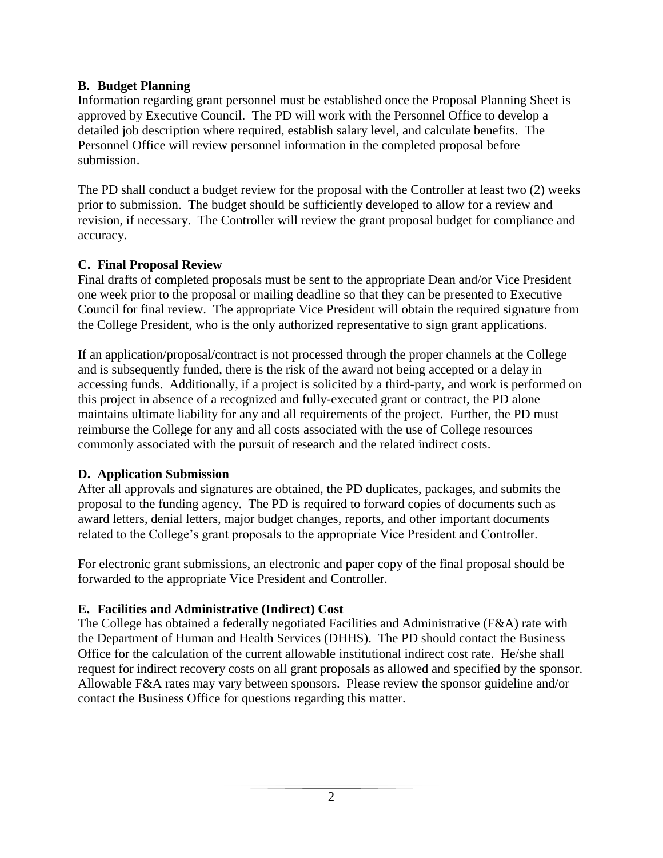#### **B. Budget Planning**

Information regarding grant personnel must be established once the Proposal Planning Sheet is approved by Executive Council. The PD will work with the Personnel Office to develop a detailed job description where required, establish salary level, and calculate benefits. The Personnel Office will review personnel information in the completed proposal before submission.

The PD shall conduct a budget review for the proposal with the Controller at least two (2) weeks prior to submission. The budget should be sufficiently developed to allow for a review and revision, if necessary. The Controller will review the grant proposal budget for compliance and accuracy.

### **C. Final Proposal Review**

Final drafts of completed proposals must be sent to the appropriate Dean and/or Vice President one week prior to the proposal or mailing deadline so that they can be presented to Executive Council for final review. The appropriate Vice President will obtain the required signature from the College President, who is the only authorized representative to sign grant applications.

If an application/proposal/contract is not processed through the proper channels at the College and is subsequently funded, there is the risk of the award not being accepted or a delay in accessing funds. Additionally, if a project is solicited by a third-party, and work is performed on this project in absence of a recognized and fully-executed grant or contract, the PD alone maintains ultimate liability for any and all requirements of the project. Further, the PD must reimburse the College for any and all costs associated with the use of College resources commonly associated with the pursuit of research and the related indirect costs.

### **D. Application Submission**

After all approvals and signatures are obtained, the PD duplicates, packages, and submits the proposal to the funding agency. The PD is required to forward copies of documents such as award letters, denial letters, major budget changes, reports, and other important documents related to the College's grant proposals to the appropriate Vice President and Controller.

For electronic grant submissions, an electronic and paper copy of the final proposal should be forwarded to the appropriate Vice President and Controller.

### **E. Facilities and Administrative (Indirect) Cost**

The College has obtained a federally negotiated Facilities and Administrative (F&A) rate with the Department of Human and Health Services (DHHS). The PD should contact the Business Office for the calculation of the current allowable institutional indirect cost rate. He/she shall request for indirect recovery costs on all grant proposals as allowed and specified by the sponsor. Allowable F&A rates may vary between sponsors. Please review the sponsor guideline and/or contact the Business Office for questions regarding this matter.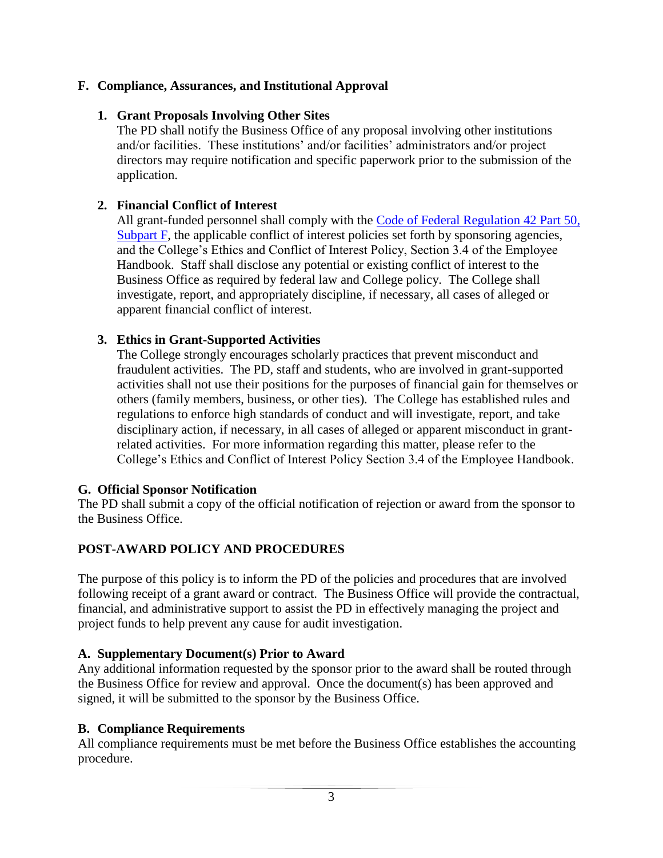### **F. Compliance, Assurances, and Institutional Approval**

### **1. Grant Proposals Involving Other Sites**

The PD shall notify the Business Office of any proposal involving other institutions and/or facilities. These institutions' and/or facilities' administrators and/or project directors may require notification and specific paperwork prior to the submission of the application.

### **2. Financial Conflict of Interest**

All grant-funded personnel shall comply with the Code of Federal Regulation 42 Part 50, [Subpart F,](http://grants.nih.gov/grants/compliance/42_CFR_50_Subpart_F.htm) the applicable conflict of interest policies set forth by sponsoring agencies, and the College's Ethics and Conflict of Interest Policy, Section 3.4 of the Employee Handbook. Staff shall disclose any potential or existing conflict of interest to the Business Office as required by federal law and College policy. The College shall investigate, report, and appropriately discipline, if necessary, all cases of alleged or apparent financial conflict of interest.

#### **3. Ethics in Grant-Supported Activities**

The College strongly encourages scholarly practices that prevent misconduct and fraudulent activities. The PD, staff and students, who are involved in grant-supported activities shall not use their positions for the purposes of financial gain for themselves or others (family members, business, or other ties). The College has established rules and regulations to enforce high standards of conduct and will investigate, report, and take disciplinary action, if necessary, in all cases of alleged or apparent misconduct in grantrelated activities. For more information regarding this matter, please refer to the College's Ethics and Conflict of Interest Policy Section 3.4 of the Employee Handbook.

#### **G. Official Sponsor Notification**

The PD shall submit a copy of the official notification of rejection or award from the sponsor to the Business Office.

### **POST-AWARD POLICY AND PROCEDURES**

The purpose of this policy is to inform the PD of the policies and procedures that are involved following receipt of a grant award or contract. The Business Office will provide the contractual, financial, and administrative support to assist the PD in effectively managing the project and project funds to help prevent any cause for audit investigation.

#### **A. Supplementary Document(s) Prior to Award**

Any additional information requested by the sponsor prior to the award shall be routed through the Business Office for review and approval. Once the document(s) has been approved and signed, it will be submitted to the sponsor by the Business Office.

#### **B. Compliance Requirements**

All compliance requirements must be met before the Business Office establishes the accounting procedure.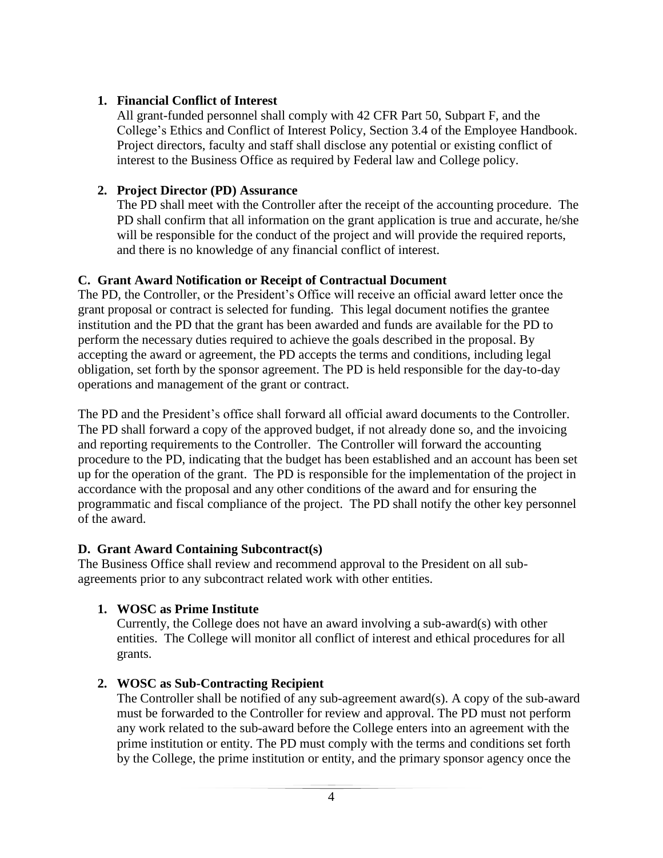#### **1. Financial Conflict of Interest**

All grant-funded personnel shall comply with 42 CFR Part 50, Subpart F, and the College's Ethics and Conflict of Interest Policy, Section 3.4 of the Employee Handbook. Project directors, faculty and staff shall disclose any potential or existing conflict of interest to the Business Office as required by Federal law and College policy.

### **2. Project Director (PD) Assurance**

The PD shall meet with the Controller after the receipt of the accounting procedure. The PD shall confirm that all information on the grant application is true and accurate, he/she will be responsible for the conduct of the project and will provide the required reports, and there is no knowledge of any financial conflict of interest.

### **C. Grant Award Notification or Receipt of Contractual Document**

The PD, the Controller, or the President's Office will receive an official award letter once the grant proposal or contract is selected for funding. This legal document notifies the grantee institution and the PD that the grant has been awarded and funds are available for the PD to perform the necessary duties required to achieve the goals described in the proposal. By accepting the award or agreement, the PD accepts the terms and conditions, including legal obligation, set forth by the sponsor agreement. The PD is held responsible for the day-to-day operations and management of the grant or contract.

The PD and the President's office shall forward all official award documents to the Controller. The PD shall forward a copy of the approved budget, if not already done so, and the invoicing and reporting requirements to the Controller. The Controller will forward the accounting procedure to the PD, indicating that the budget has been established and an account has been set up for the operation of the grant. The PD is responsible for the implementation of the project in accordance with the proposal and any other conditions of the award and for ensuring the programmatic and fiscal compliance of the project. The PD shall notify the other key personnel of the award.

#### **D. Grant Award Containing Subcontract(s)**

The Business Office shall review and recommend approval to the President on all subagreements prior to any subcontract related work with other entities.

### **1. WOSC as Prime Institute**

Currently, the College does not have an award involving a sub-award(s) with other entities. The College will monitor all conflict of interest and ethical procedures for all grants.

### **2. WOSC as Sub-Contracting Recipient**

The Controller shall be notified of any sub-agreement award(s). A copy of the sub-award must be forwarded to the Controller for review and approval. The PD must not perform any work related to the sub-award before the College enters into an agreement with the prime institution or entity. The PD must comply with the terms and conditions set forth by the College, the prime institution or entity, and the primary sponsor agency once the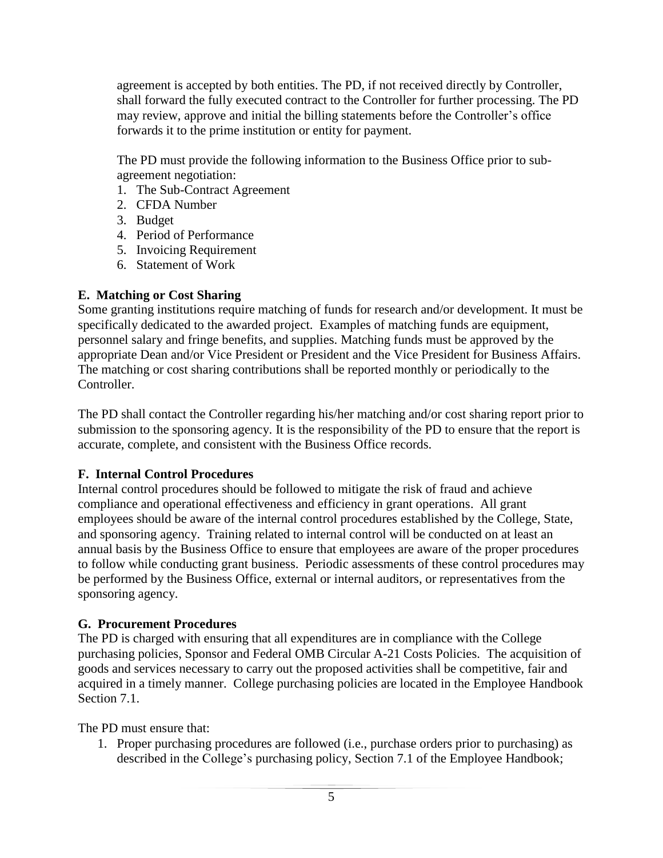agreement is accepted by both entities. The PD, if not received directly by Controller, shall forward the fully executed contract to the Controller for further processing. The PD may review, approve and initial the billing statements before the Controller's office forwards it to the prime institution or entity for payment.

The PD must provide the following information to the Business Office prior to subagreement negotiation:

- 1. The Sub-Contract Agreement
- 2. CFDA Number
- 3. Budget
- 4. Period of Performance
- 5. Invoicing Requirement
- 6. Statement of Work

### **E. Matching or Cost Sharing**

Some granting institutions require matching of funds for research and/or development. It must be specifically dedicated to the awarded project. Examples of matching funds are equipment, personnel salary and fringe benefits, and supplies. Matching funds must be approved by the appropriate Dean and/or Vice President or President and the Vice President for Business Affairs. The matching or cost sharing contributions shall be reported monthly or periodically to the Controller.

The PD shall contact the Controller regarding his/her matching and/or cost sharing report prior to submission to the sponsoring agency. It is the responsibility of the PD to ensure that the report is accurate, complete, and consistent with the Business Office records.

### **F. Internal Control Procedures**

Internal control procedures should be followed to mitigate the risk of fraud and achieve compliance and operational effectiveness and efficiency in grant operations. All grant employees should be aware of the internal control procedures established by the College, State, and sponsoring agency. Training related to internal control will be conducted on at least an annual basis by the Business Office to ensure that employees are aware of the proper procedures to follow while conducting grant business. Periodic assessments of these control procedures may be performed by the Business Office, external or internal auditors, or representatives from the sponsoring agency.

### **G. Procurement Procedures**

The PD is charged with ensuring that all expenditures are in compliance with the College purchasing policies, Sponsor and Federal OMB Circular A-21 Costs Policies. The acquisition of goods and services necessary to carry out the proposed activities shall be competitive, fair and acquired in a timely manner. College purchasing policies are located in the Employee Handbook Section 7.1.

The PD must ensure that:

1. Proper purchasing procedures are followed (i.e., purchase orders prior to purchasing) as described in the College's purchasing policy, Section 7.1 of the Employee Handbook;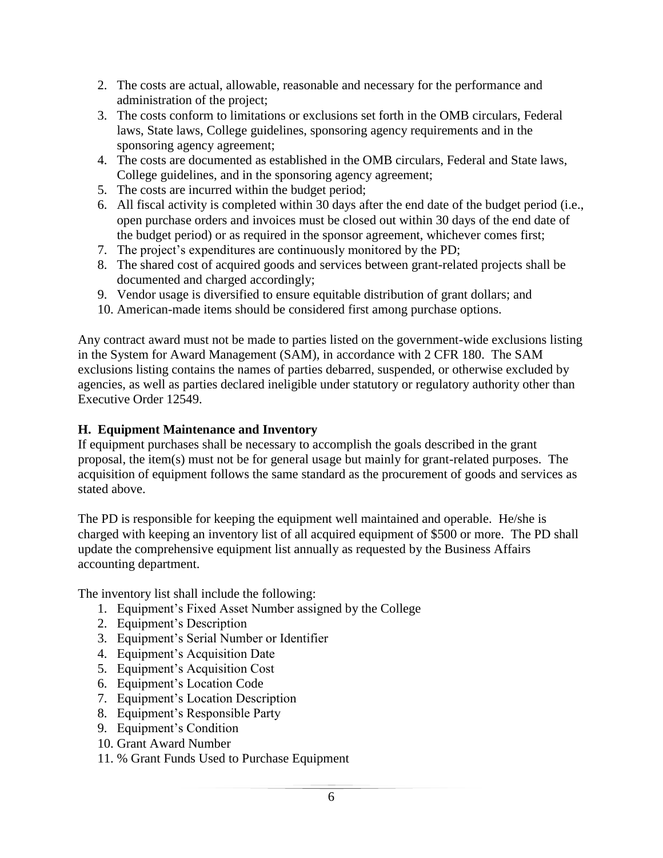- 2. The costs are actual, allowable, reasonable and necessary for the performance and administration of the project;
- 3. The costs conform to limitations or exclusions set forth in the OMB circulars, Federal laws, State laws, College guidelines, sponsoring agency requirements and in the sponsoring agency agreement;
- 4. The costs are documented as established in the OMB circulars, Federal and State laws, College guidelines, and in the sponsoring agency agreement;
- 5. The costs are incurred within the budget period;
- 6. All fiscal activity is completed within 30 days after the end date of the budget period (i.e., open purchase orders and invoices must be closed out within 30 days of the end date of the budget period) or as required in the sponsor agreement, whichever comes first;
- 7. The project's expenditures are continuously monitored by the PD;
- 8. The shared cost of acquired goods and services between grant-related projects shall be documented and charged accordingly;
- 9. Vendor usage is diversified to ensure equitable distribution of grant dollars; and
- 10. American-made items should be considered first among purchase options.

Any contract award must not be made to parties listed on the government-wide exclusions listing in the System for Award Management (SAM), in accordance with 2 CFR 180. The SAM exclusions listing contains the names of parties debarred, suspended, or otherwise excluded by agencies, as well as parties declared ineligible under statutory or regulatory authority other than Executive Order 12549.

#### **H. Equipment Maintenance and Inventory**

If equipment purchases shall be necessary to accomplish the goals described in the grant proposal, the item(s) must not be for general usage but mainly for grant-related purposes. The acquisition of equipment follows the same standard as the procurement of goods and services as stated above.

The PD is responsible for keeping the equipment well maintained and operable. He/she is charged with keeping an inventory list of all acquired equipment of \$500 or more. The PD shall update the comprehensive equipment list annually as requested by the Business Affairs accounting department.

The inventory list shall include the following:

- 1. Equipment's Fixed Asset Number assigned by the College
- 2. Equipment's Description
- 3. Equipment's Serial Number or Identifier
- 4. Equipment's Acquisition Date
- 5. Equipment's Acquisition Cost
- 6. Equipment's Location Code
- 7. Equipment's Location Description
- 8. Equipment's Responsible Party
- 9. Equipment's Condition
- 10. Grant Award Number
- 11. % Grant Funds Used to Purchase Equipment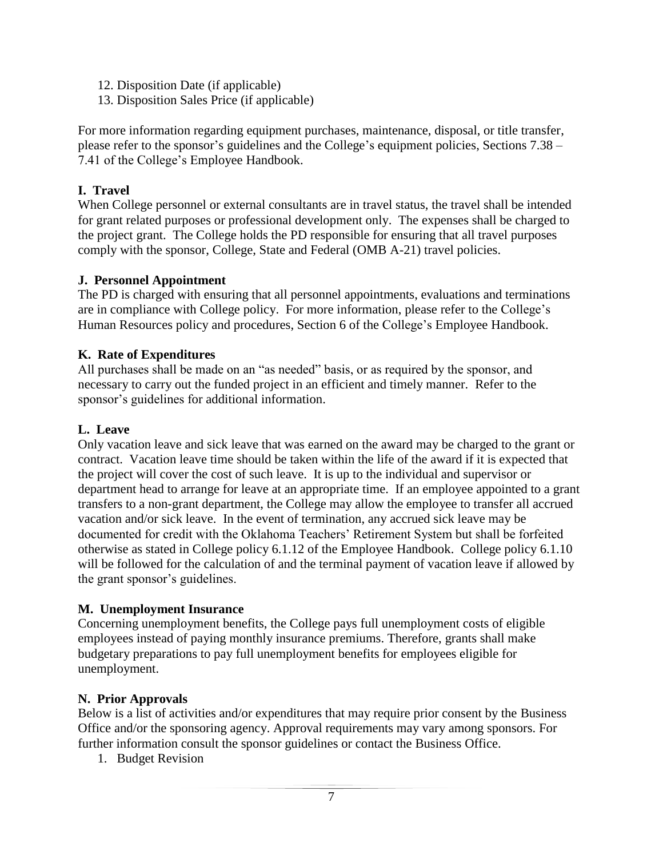- 12. Disposition Date (if applicable)
- 13. Disposition Sales Price (if applicable)

For more information regarding equipment purchases, maintenance, disposal, or title transfer, please refer to the sponsor's guidelines and the College's equipment policies, Sections 7.38 – 7.41 of the College's Employee Handbook.

### **I. Travel**

When College personnel or external consultants are in travel status, the travel shall be intended for grant related purposes or professional development only. The expenses shall be charged to the project grant. The College holds the PD responsible for ensuring that all travel purposes comply with the sponsor, College, State and Federal (OMB A-21) travel policies.

### **J. Personnel Appointment**

The PD is charged with ensuring that all personnel appointments, evaluations and terminations are in compliance with College policy. For more information, please refer to the College's Human Resources policy and procedures, Section 6 of the College's Employee Handbook.

### **K. Rate of Expenditures**

All purchases shall be made on an "as needed" basis, or as required by the sponsor, and necessary to carry out the funded project in an efficient and timely manner. Refer to the sponsor's guidelines for additional information.

### **L. Leave**

Only vacation leave and sick leave that was earned on the award may be charged to the grant or contract. Vacation leave time should be taken within the life of the award if it is expected that the project will cover the cost of such leave. It is up to the individual and supervisor or department head to arrange for leave at an appropriate time. If an employee appointed to a grant transfers to a non-grant department, the College may allow the employee to transfer all accrued vacation and/or sick leave. In the event of termination, any accrued sick leave may be documented for credit with the Oklahoma Teachers' Retirement System but shall be forfeited otherwise as stated in College policy 6.1.12 of the Employee Handbook. College policy 6.1.10 will be followed for the calculation of and the terminal payment of vacation leave if allowed by the grant sponsor's guidelines.

#### **M. Unemployment Insurance**

Concerning unemployment benefits, the College pays full unemployment costs of eligible employees instead of paying monthly insurance premiums. Therefore, grants shall make budgetary preparations to pay full unemployment benefits for employees eligible for unemployment.

#### **N. Prior Approvals**

Below is a list of activities and/or expenditures that may require prior consent by the Business Office and/or the sponsoring agency. Approval requirements may vary among sponsors. For further information consult the sponsor guidelines or contact the Business Office.

1. Budget Revision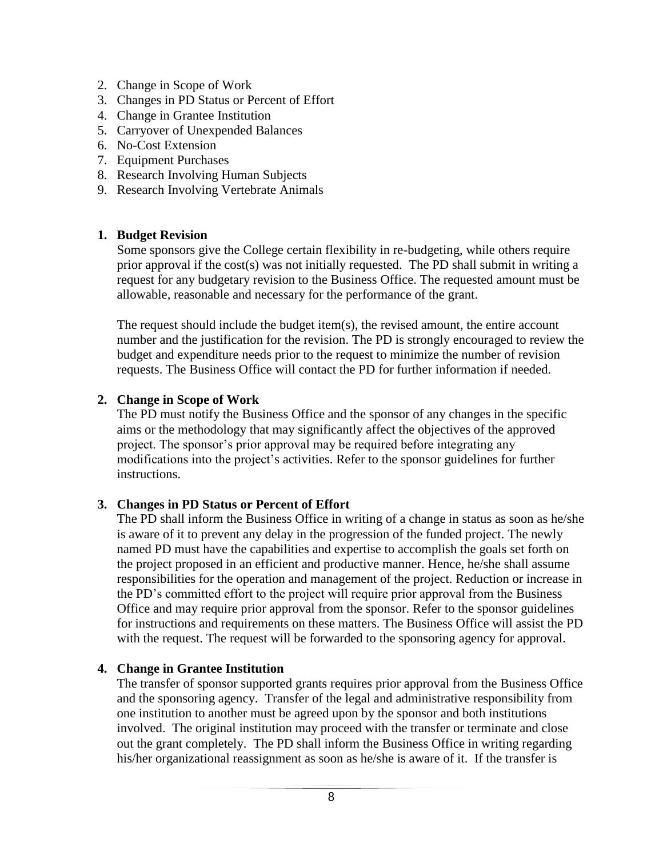- 2. Change in Scope of Work
- 3. Changes in PD Status or Percent of Effort
- 4. Change in Grantee Institution
- 5. Carryover of Unexpended Balances
- 6. No-Cost Extension
- 7. Equipment Purchases
- 8. Research Involving Human Subjects
- 9. Research Involving Vertebrate Animals

#### **1. Budget Revision**

Some sponsors give the College certain flexibility in re-budgeting, while others require prior approval if the cost(s) was not initially requested. The PD shall submit in writing a request for any budgetary revision to the Business Office. The requested amount must be allowable, reasonable and necessary for the performance of the grant.

The request should include the budget item(s), the revised amount, the entire account number and the justification for the revision. The PD is strongly encouraged to review the budget and expenditure needs prior to the request to minimize the number of revision requests. The Business Office will contact the PD for further information if needed.

#### **2. Change in Scope of Work**

The PD must notify the Business Office and the sponsor of any changes in the specific aims or the methodology that may significantly affect the objectives of the approved project. The sponsor's prior approval may be required before integrating any modifications into the project's activities. Refer to the sponsor guidelines for further instructions.

#### **3. Changes in PD Status or Percent of Effort**

The PD shall inform the Business Office in writing of a change in status as soon as he/she is aware of it to prevent any delay in the progression of the funded project. The newly named PD must have the capabilities and expertise to accomplish the goals set forth on the project proposed in an efficient and productive manner. Hence, he/she shall assume responsibilities for the operation and management of the project. Reduction or increase in the PD's committed effort to the project will require prior approval from the Business Office and may require prior approval from the sponsor. Refer to the sponsor guidelines for instructions and requirements on these matters. The Business Office will assist the PD with the request. The request will be forwarded to the sponsoring agency for approval.

#### **4. Change in Grantee Institution**

The transfer of sponsor supported grants requires prior approval from the Business Office and the sponsoring agency. Transfer of the legal and administrative responsibility from one institution to another must be agreed upon by the sponsor and both institutions involved. The original institution may proceed with the transfer or terminate and close out the grant completely. The PD shall inform the Business Office in writing regarding his/her organizational reassignment as soon as he/she is aware of it. If the transfer is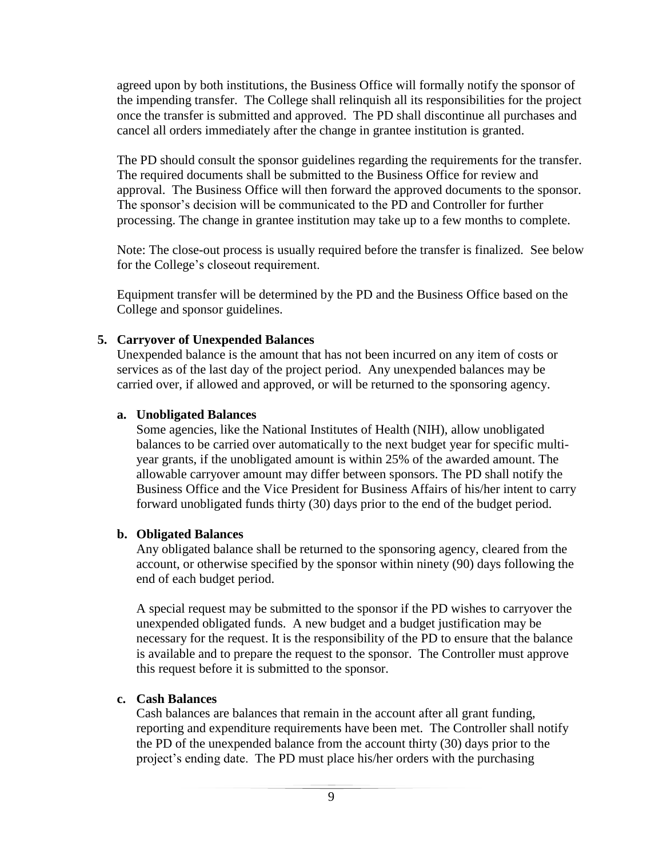agreed upon by both institutions, the Business Office will formally notify the sponsor of the impending transfer. The College shall relinquish all its responsibilities for the project once the transfer is submitted and approved. The PD shall discontinue all purchases and cancel all orders immediately after the change in grantee institution is granted.

The PD should consult the sponsor guidelines regarding the requirements for the transfer. The required documents shall be submitted to the Business Office for review and approval. The Business Office will then forward the approved documents to the sponsor. The sponsor's decision will be communicated to the PD and Controller for further processing. The change in grantee institution may take up to a few months to complete.

Note: The close-out process is usually required before the transfer is finalized. See below for the College's closeout requirement.

Equipment transfer will be determined by the PD and the Business Office based on the College and sponsor guidelines.

#### **5. Carryover of Unexpended Balances**

Unexpended balance is the amount that has not been incurred on any item of costs or services as of the last day of the project period. Any unexpended balances may be carried over, if allowed and approved, or will be returned to the sponsoring agency.

#### **a. Unobligated Balances**

Some agencies, like the National Institutes of Health (NIH), allow unobligated balances to be carried over automatically to the next budget year for specific multiyear grants, if the unobligated amount is within 25% of the awarded amount. The allowable carryover amount may differ between sponsors. The PD shall notify the Business Office and the Vice President for Business Affairs of his/her intent to carry forward unobligated funds thirty (30) days prior to the end of the budget period.

#### **b. Obligated Balances**

Any obligated balance shall be returned to the sponsoring agency, cleared from the account, or otherwise specified by the sponsor within ninety (90) days following the end of each budget period.

A special request may be submitted to the sponsor if the PD wishes to carryover the unexpended obligated funds. A new budget and a budget justification may be necessary for the request. It is the responsibility of the PD to ensure that the balance is available and to prepare the request to the sponsor. The Controller must approve this request before it is submitted to the sponsor.

#### **c. Cash Balances**

Cash balances are balances that remain in the account after all grant funding, reporting and expenditure requirements have been met. The Controller shall notify the PD of the unexpended balance from the account thirty (30) days prior to the project's ending date. The PD must place his/her orders with the purchasing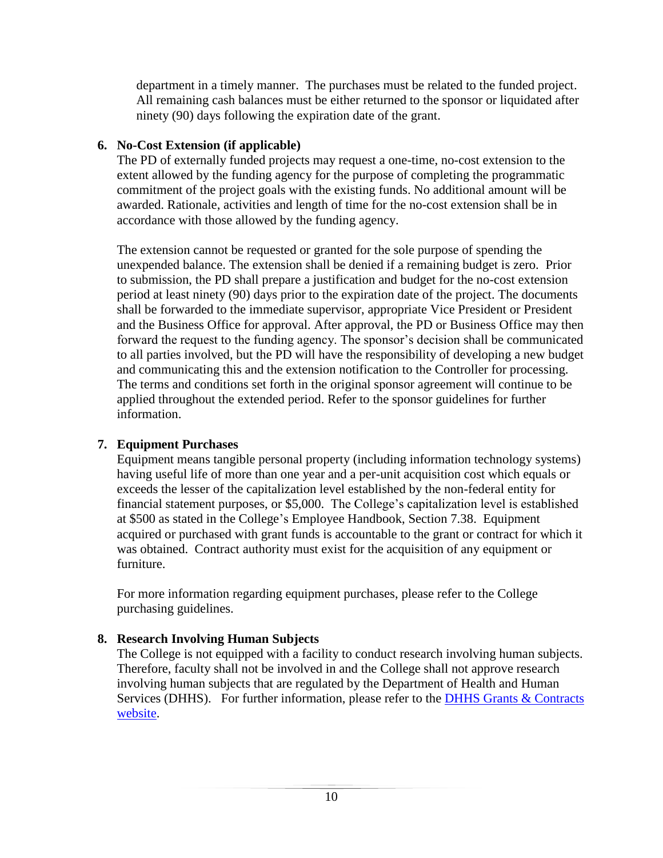department in a timely manner. The purchases must be related to the funded project. All remaining cash balances must be either returned to the sponsor or liquidated after ninety (90) days following the expiration date of the grant.

### **6. No-Cost Extension (if applicable)**

The PD of externally funded projects may request a one-time, no-cost extension to the extent allowed by the funding agency for the purpose of completing the programmatic commitment of the project goals with the existing funds. No additional amount will be awarded. Rationale, activities and length of time for the no-cost extension shall be in accordance with those allowed by the funding agency.

The extension cannot be requested or granted for the sole purpose of spending the unexpended balance. The extension shall be denied if a remaining budget is zero. Prior to submission, the PD shall prepare a justification and budget for the no-cost extension period at least ninety (90) days prior to the expiration date of the project. The documents shall be forwarded to the immediate supervisor, appropriate Vice President or President and the Business Office for approval. After approval, the PD or Business Office may then forward the request to the funding agency. The sponsor's decision shall be communicated to all parties involved, but the PD will have the responsibility of developing a new budget and communicating this and the extension notification to the Controller for processing. The terms and conditions set forth in the original sponsor agreement will continue to be applied throughout the extended period. Refer to the sponsor guidelines for further information.

### **7. Equipment Purchases**

Equipment means tangible personal property (including information technology systems) having useful life of more than one year and a per-unit acquisition cost which equals or exceeds the lesser of the capitalization level established by the non-federal entity for financial statement purposes, or \$5,000. The College's capitalization level is established at \$500 as stated in the College's Employee Handbook, Section 7.38. Equipment acquired or purchased with grant funds is accountable to the grant or contract for which it was obtained. Contract authority must exist for the acquisition of any equipment or furniture.

For more information regarding equipment purchases, please refer to the College purchasing guidelines.

### **8. Research Involving Human Subjects**

The College is not equipped with a facility to conduct research involving human subjects. Therefore, faculty shall not be involved in and the College shall not approve research involving human subjects that are regulated by the Department of Health and Human Services (DHHS). For further information, please refer to the DHHS Grants & Contracts [website.](http://www.hhs.gov/grants/)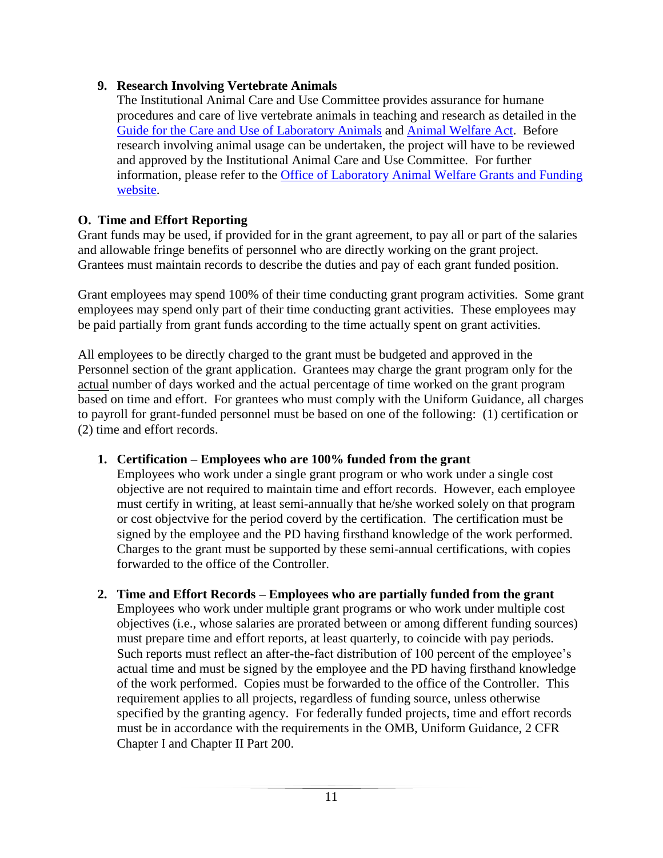### **9. Research Involving Vertebrate Animals**

The Institutional Animal Care and Use Committee provides assurance for humane procedures and care of live vertebrate animals in teaching and research as detailed in the [Guide for the Care and Use of Laboratory Animals](http://www.nap.edu/read/5140/chapter/1) and [Animal Welfare Act.](http://awic.nal.usda.gov/government-and-professional-resources/federal-laws/animal-welfare-act) Before research involving animal usage can be undertaken, the project will have to be reviewed and approved by the Institutional Animal Care and Use Committee. For further information, please refer to the [Office of Laboratory Animal Welfare Grants and Funding](http://grants.nih.gov/grants/olaw/olaw.htm)  [website.](http://grants.nih.gov/grants/olaw/olaw.htm)

### **O. Time and Effort Reporting**

Grant funds may be used, if provided for in the grant agreement, to pay all or part of the salaries and allowable fringe benefits of personnel who are directly working on the grant project. Grantees must maintain records to describe the duties and pay of each grant funded position.

Grant employees may spend 100% of their time conducting grant program activities. Some grant employees may spend only part of their time conducting grant activities. These employees may be paid partially from grant funds according to the time actually spent on grant activities.

All employees to be directly charged to the grant must be budgeted and approved in the Personnel section of the grant application. Grantees may charge the grant program only for the actual number of days worked and the actual percentage of time worked on the grant program based on time and effort. For grantees who must comply with the Uniform Guidance, all charges to payroll for grant-funded personnel must be based on one of the following: (1) certification or (2) time and effort records.

### **1. Certification – Employees who are 100% funded from the grant**

Employees who work under a single grant program or who work under a single cost objective are not required to maintain time and effort records. However, each employee must certify in writing, at least semi-annually that he/she worked solely on that program or cost objectvive for the period coverd by the certification. The certification must be signed by the employee and the PD having firsthand knowledge of the work performed. Charges to the grant must be supported by these semi-annual certifications, with copies forwarded to the office of the Controller.

#### **2. Time and Effort Records – Employees who are partially funded from the grant** Employees who work under multiple grant programs or who work under multiple cost objectives (i.e., whose salaries are prorated between or among different funding sources) must prepare time and effort reports, at least quarterly, to coincide with pay periods. Such reports must reflect an after-the-fact distribution of 100 percent of the employee's actual time and must be signed by the employee and the PD having firsthand knowledge of the work performed. Copies must be forwarded to the office of the Controller. This requirement applies to all projects, regardless of funding source, unless otherwise specified by the granting agency. For federally funded projects, time and effort records must be in accordance with the requirements in the OMB, Uniform Guidance, 2 CFR Chapter I and Chapter II Part 200.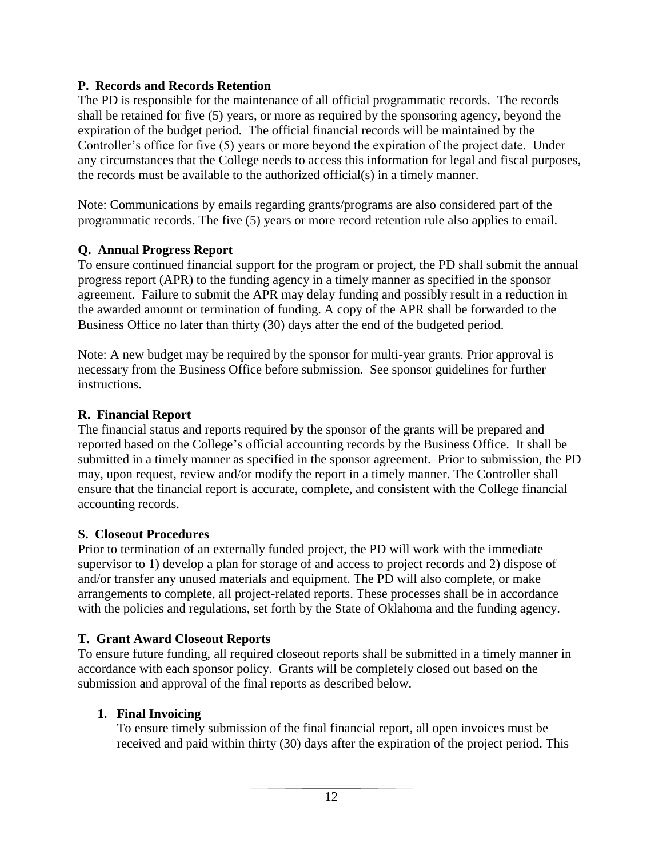### **P. Records and Records Retention**

The PD is responsible for the maintenance of all official programmatic records. The records shall be retained for five (5) years, or more as required by the sponsoring agency, beyond the expiration of the budget period. The official financial records will be maintained by the Controller's office for five (5) years or more beyond the expiration of the project date. Under any circumstances that the College needs to access this information for legal and fiscal purposes, the records must be available to the authorized official(s) in a timely manner.

Note: Communications by emails regarding grants/programs are also considered part of the programmatic records. The five (5) years or more record retention rule also applies to email.

### **Q. Annual Progress Report**

To ensure continued financial support for the program or project, the PD shall submit the annual progress report (APR) to the funding agency in a timely manner as specified in the sponsor agreement. Failure to submit the APR may delay funding and possibly result in a reduction in the awarded amount or termination of funding. A copy of the APR shall be forwarded to the Business Office no later than thirty (30) days after the end of the budgeted period.

Note: A new budget may be required by the sponsor for multi-year grants. Prior approval is necessary from the Business Office before submission. See sponsor guidelines for further instructions.

### **R. Financial Report**

The financial status and reports required by the sponsor of the grants will be prepared and reported based on the College's official accounting records by the Business Office. It shall be submitted in a timely manner as specified in the sponsor agreement. Prior to submission, the PD may, upon request, review and/or modify the report in a timely manner. The Controller shall ensure that the financial report is accurate, complete, and consistent with the College financial accounting records.

### **S. Closeout Procedures**

Prior to termination of an externally funded project, the PD will work with the immediate supervisor to 1) develop a plan for storage of and access to project records and 2) dispose of and/or transfer any unused materials and equipment. The PD will also complete, or make arrangements to complete, all project-related reports. These processes shall be in accordance with the policies and regulations, set forth by the State of Oklahoma and the funding agency.

#### **T. Grant Award Closeout Reports**

To ensure future funding, all required closeout reports shall be submitted in a timely manner in accordance with each sponsor policy. Grants will be completely closed out based on the submission and approval of the final reports as described below.

#### **1. Final Invoicing**

To ensure timely submission of the final financial report, all open invoices must be received and paid within thirty (30) days after the expiration of the project period. This